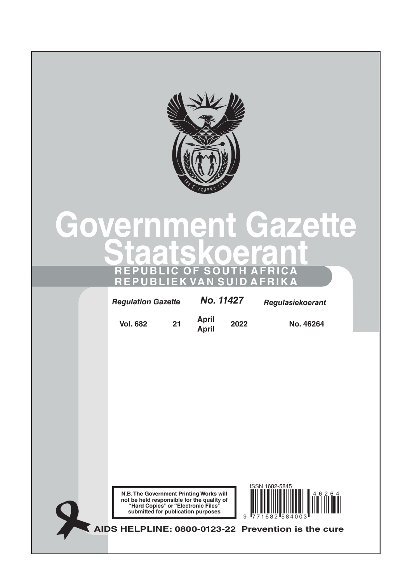

# **Government Gazette Staatskoerant REPUBLIC OF SOUTH AFRICA REPUBLIEK VAN SUID AFRIKA**

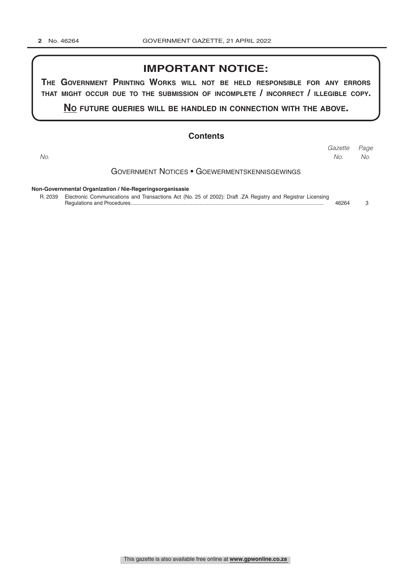## **IMPORTANT NOTICE:**

**The GovernmenT PrinTinG Works Will noT be held resPonsible for any errors ThaT miGhT occur due To The submission of incomPleTe / incorrecT / illeGible coPy.**

**no fuTure queries Will be handled in connecTion WiTh The above.**

### **Contents**

Government Notices • Goewermentskennisgewings **Non-Governmental Organization / Nie-Regeringsorganisasie** *Page Gazette No. No. No.*

R. 2039 Electronic Communications and Transactions Act (No. 25 of 2002): Draft .ZA Registry and Registrar Licensing Regulations and Procedures.................................................................................................................................... 46264 3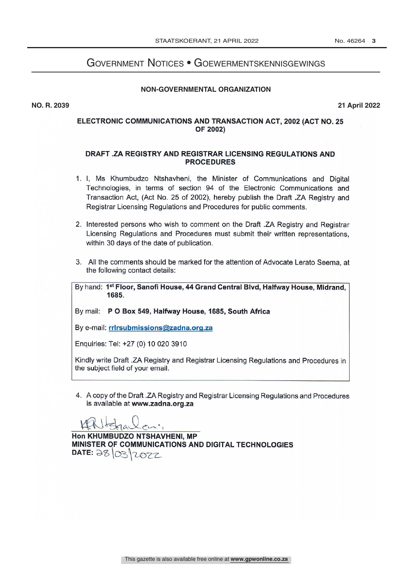# Government Notices • Goewermentskennisgewings

#### **NON-GOVERNMENTAL ORGANIZATION**

**NO. R. 2039 21 April 2022**

### ELECTRONIC COMMUNICATIONS AND TRANSACTION ACT, 2002 (ACT NO. 25 OF 2002)

#### DRAFT .ZA REGISTRY AND REGISTRAR LICENSING REGULATIONS AND **PROCEDURES**

- 1. I, Ms Khumbudzo Ntshavheni, the Minister of Communications and Digital Technologies, in terms of section 94 of the Electronic Communications and Transaction Act, (Act No. 25 of 2002), hereby publish the Draft .ZA Registry and Registrar Licensing Regulations and Procedures for public comments.
- 2. Interested persons who wish to comment on the Draft .ZA Registry and Registrar Licensing Regulations and Procedures must submit their written representations. within 30 days of the date of publication.
- 3. All the comments should be marked for the attention of Advocate Lerato Seema, at the following contact details:

By hand: 1st Floor, Sanofi House, 44 Grand Central Blvd, Halfway House, Midrand, 1685.

By mail: P O Box 549, Halfway House, 1685, South Africa

By e-mail: rrirsubmissions@zadna.org.za

Enquiries: Tel: +27 (0) 10 020 3910

Kindly write Draft .ZA Registry and Registrar Licensing Regulations and Procedures in the subject field of your email.

4. A copy of the Draft .ZA Registry and Registrar Licensing Regulations and Procedures is available at www.zadna.org.za

 $en'$  $161$ 

Hon KHUMBUDZO NTSHAVHENI, MP MINISTER OF COMMUNICATIONS AND DIGITAL TECHNOLOGIES DATE: 28 03 12072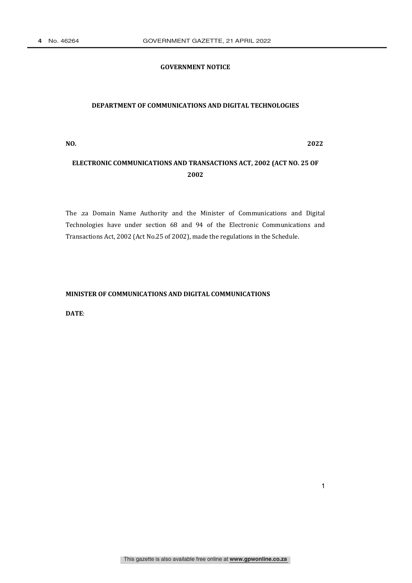### **GOVERNMENT NOTICE**

#### **DEPARTMENT OF COMMUNICATIONS AND DIGITAL TECHNOLOGIES**

**NO. 2022**

1

## **ELECTRONIC COMMUNICATIONS AND TRANSACTIONS ACT, 2002 (ACT NO. 25 OF 2002**

The .za Domain Name Authority and the Minister of Communications and Digital Technologies have under section 68 and 94 of the Electronic Communications and Transactions Act, 2002 (Act No.25 of 2002), made the regulations in the Schedule.

## **MINISTER OF COMMUNICATIONS AND DIGITAL COMMUNICATIONS**

DATE: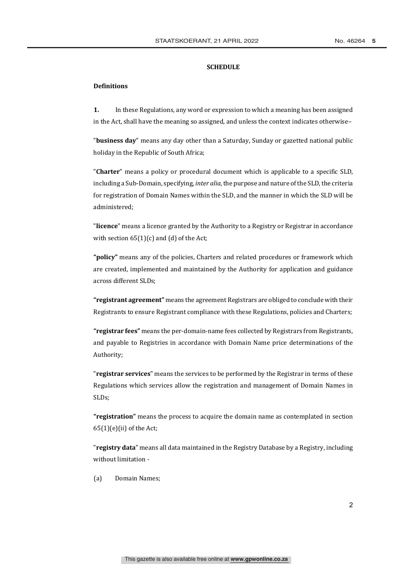#### **SCHEDULE**

#### **Definitions**

 $1.$ In these Regulations, any word or expression to which a meaning has been assigned in the Act, shall have the meaning so assigned, and unless the context indicates otherwise-

"business day" means any day other than a Saturday, Sunday or gazetted national public holiday in the Republic of South Africa;

"Charter" means a policy or procedural document which is applicable to a specific SLD, including a Sub-Domain, specifying, inter alia, the purpose and nature of the SLD, the criteria for registration of Domain Names within the SLD, and the manner in which the SLD will be administered:

"licence" means a licence granted by the Authority to a Registry or Registrar in accordance with section  $65(1)(c)$  and (d) of the Act;

"policy" means any of the policies, Charters and related procedures or framework which are created, implemented and maintained by the Authority for application and guidance across different SLDs:

"registrant agreement" means the agreement Registrars are obliged to conclude with their Registrants to ensure Registrant compliance with these Regulations, policies and Charters;

"registrar fees" means the per-domain-name fees collected by Registrars from Registrants, and payable to Registries in accordance with Domain Name price determinations of the Authority:

"registrar services" means the services to be performed by the Registrar in terms of these Regulations which services allow the registration and management of Domain Names in SLDs;

"registration" means the process to acquire the domain name as contemplated in section  $65(1)(e)(ii)$  of the Act;

"registry data" means all data maintained in the Registry Database by a Registry, including without limitation -

 $(a)$ Domain Names: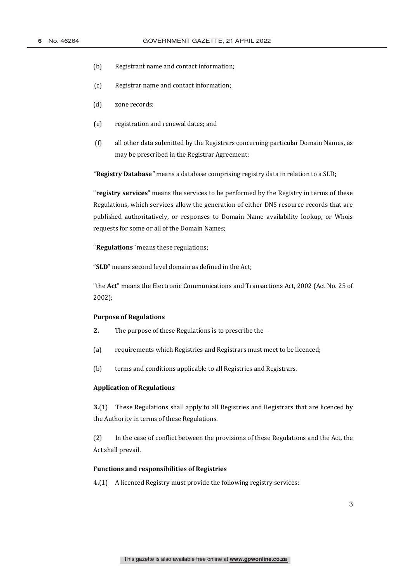- $(b)$ Registrant name and contact information;
- $(c)$ Registrar name and contact information;
- $(d)$ zone records;
- $(e)$ registration and renewal dates; and
- $(f)$ all other data submitted by the Registrars concerning particular Domain Names, as may be prescribed in the Registrar Agreement;

"Registry Database" means a database comprising registry data in relation to a SLD;

"registry services" means the services to be performed by the Registry in terms of these Regulations, which services allow the generation of either DNS resource records that are published authoritatively, or responses to Domain Name availability lookup, or Whois requests for some or all of the Domain Names;

"Regulations" means these regulations;

"SLD" means second level domain as defined in the Act;

"the Act" means the Electronic Communications and Transactions Act, 2002 (Act No. 25 of  $2002$ );

### **Purpose of Regulations**

- $2.$ The purpose of these Regulations is to prescribe the-
- $(a)$ requirements which Registries and Registrars must meet to be licenced;
- $(b)$ terms and conditions applicable to all Registries and Registrars.

#### **Application of Regulations**

3.(1) These Regulations shall apply to all Registries and Registrars that are licenced by the Authority in terms of these Regulations.

 $(2)$ In the case of conflict between the provisions of these Regulations and the Act, the Act shall prevail.

#### **Functions and responsibilities of Registries**

4.(1) A licenced Registry must provide the following registry services: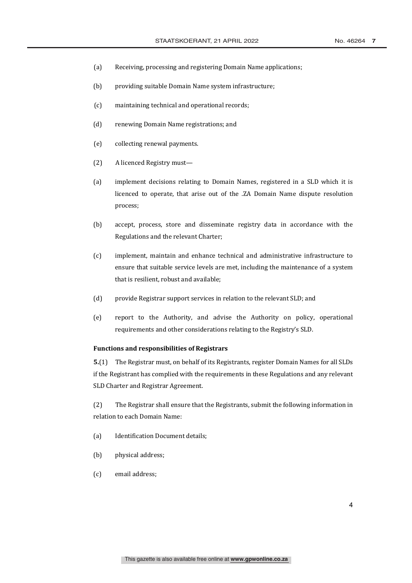- $(a)$ Receiving, processing and registering Domain Name applications;
- $(b)$ providing suitable Domain Name system infrastructure;
- maintaining technical and operational records;  $(c)$
- $(d)$ renewing Domain Name registrations; and
- $(e)$ collecting renewal payments.
- $(2)$ A licenced Registry must-
- $(a)$ implement decisions relating to Domain Names, registered in a SLD which it is licenced to operate, that arise out of the .ZA Domain Name dispute resolution process;
- $(b)$ accept, process, store and disseminate registry data in accordance with the Regulations and the relevant Charter;
- $(c)$ implement, maintain and enhance technical and administrative infrastructure to ensure that suitable service levels are met, including the maintenance of a system that is resilient, robust and available;
- $(d)$ provide Registrar support services in relation to the relevant SLD; and
- report to the Authority, and advise the Authority on policy, operational  $(e)$ requirements and other considerations relating to the Registry's SLD.

#### **Functions and responsibilities of Registrars**

5.(1) The Registrar must, on behalf of its Registrants, register Domain Names for all SLDs if the Registrant has complied with the requirements in these Regulations and any relevant SLD Charter and Registrar Agreement.

 $(2)$ The Registrar shall ensure that the Registrants, submit the following information in relation to each Domain Name:

- $(a)$ **Identification Document details:**
- $(b)$ physical address;
- email address:  $(c)$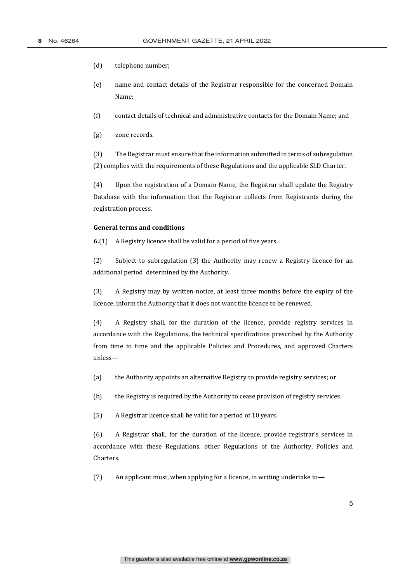- $(d)$ telephone number;
- (e) name and contact details of the Registrar responsible for the concerned Domain Name:
- $(f)$ contact details of technical and administrative contacts for the Domain Name; and
- $(g)$ zone records.

 $(3)$ The Registrar must ensure that the information submitted in terms of subregulation (2) complies with the requirements of these Regulations and the applicable SLD Charter.

Upon the registration of a Domain Name, the Registrar shall update the Registry  $(4)$ Database with the information that the Registrar collects from Registrants during the registration process.

#### **General terms and conditions**

 $6(1)$ A Registry licence shall be valid for a period of five years.

Subject to subregulation (3) the Authority may renew a Registry licence for an  $(2)$ additional period determined by the Authority.

A Registry may by written notice, at least three months before the expiry of the  $(3)$ licence, inform the Authority that it does not want the licence to be renewed.

A Registry shall, for the duration of the licence, provide registry services in  $(4)$ accordance with the Regulations, the technical specifications prescribed by the Authority from time to time and the applicable Policies and Procedures, and approved Charters unless-

- $(a)$ the Authority appoints an alternative Registry to provide registry services; or
- $(b)$ the Registry is required by the Authority to cease provision of registry services.
- $(5)$ A Registrar licence shall be valid for a period of 10 years.

 $(6)$ A Registrar shall, for the duration of the licence, provide registrar's services in accordance with these Regulations, other Regulations of the Authority, Policies and Charters.

 $(7)$ An applicant must, when applying for a licence, in writing undertake to-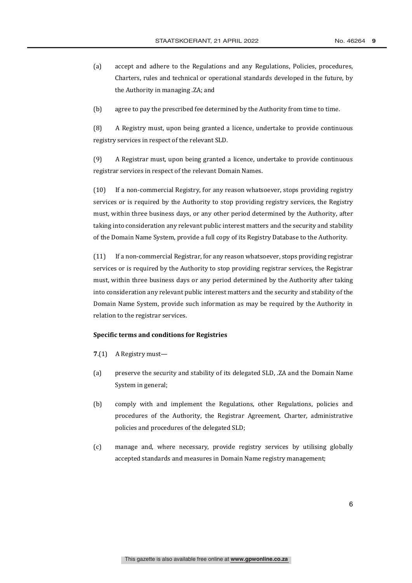- $(a)$ accept and adhere to the Regulations and any Regulations, Policies, procedures, Charters, rules and technical or operational standards developed in the future, by the Authority in managing .ZA; and
- $(b)$ agree to pay the prescribed fee determined by the Authority from time to time.

 $(8)$ A Registry must, upon being granted a licence, undertake to provide continuous registry services in respect of the relevant SLD.

 $(9)$ A Registrar must, upon being granted a licence, undertake to provide continuous registrar services in respect of the relevant Domain Names.

If a non-commercial Registry, for any reason whatsoever, stops providing registry  $(10)$ services or is required by the Authority to stop providing registry services, the Registry must, within three business days, or any other period determined by the Authority, after taking into consideration any relevant public interest matters and the security and stability of the Domain Name System, provide a full copy of its Registry Database to the Authority.

 $(11)$ If a non-commercial Registrar, for any reason whatsoever, stops providing registrar services or is required by the Authority to stop providing registrar services, the Registrar must, within three business days or any period determined by the Authority after taking into consideration any relevant public interest matters and the security and stability of the Domain Name System, provide such information as may be required by the Authority in relation to the registrar services.

#### **Specific terms and conditions for Registries**

- 7. $(1)$  A Registry must—
- $(a)$ preserve the security and stability of its delegated SLD, .ZA and the Domain Name System in general;
- $(b)$ comply with and implement the Regulations, other Regulations, policies and procedures of the Authority, the Registrar Agreement, Charter, administrative policies and procedures of the delegated SLD;
- $(c)$ manage and, where necessary, provide registry services by utilising globally accepted standards and measures in Domain Name registry management;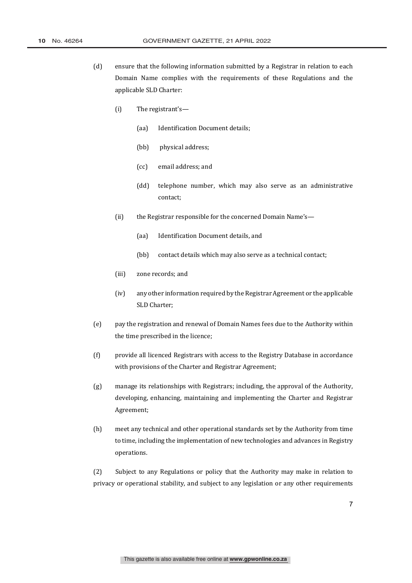- $(d)$ ensure that the following information submitted by a Registrar in relation to each Domain Name complies with the requirements of these Regulations and the applicable SLD Charter:
	- $(i)$ The registrant's-
		- $(aa)$ **Identification Document details:**
		- $(bb)$ physical address;
		- email address; and  $(cc)$
		- $(dd)$ telephone number, which may also serve as an administrative contact;
	- $(ii)$ the Registrar responsible for the concerned Domain Name's-
		- $(aa)$ Identification Document details, and
		- contact details which may also serve as a technical contact:  $(hh)$
	- $(iii)$ zone records; and
	- $(iv)$ any other information required by the Registrar Agreement or the applicable SLD Charter;
- $(e)$ pay the registration and renewal of Domain Names fees due to the Authority within the time prescribed in the licence;
- $(f)$ provide all licenced Registrars with access to the Registry Database in accordance with provisions of the Charter and Registrar Agreement;
- $(g)$ manage its relationships with Registrars; including, the approval of the Authority, developing, enhancing, maintaining and implementing the Charter and Registrar Agreement;
- meet any technical and other operational standards set by the Authority from time  $(h)$ to time, including the implementation of new technologies and advances in Registry operations.

 $(2)$ Subject to any Regulations or policy that the Authority may make in relation to privacy or operational stability, and subject to any legislation or any other requirements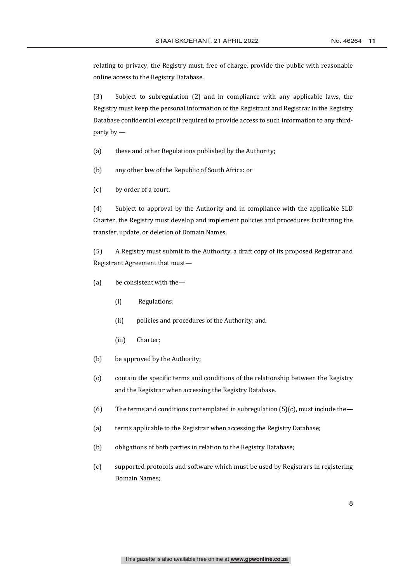relating to privacy, the Registry must, free of charge, provide the public with reasonable online access to the Registry Database.

 $(3)$ Subject to subregulation (2) and in compliance with any applicable laws, the Registry must keep the personal information of the Registrant and Registrar in the Registry Database confidential except if required to provide access to such information to any thirdparty by  $-$ 

- $(a)$ these and other Regulations published by the Authority;
- any other law of the Republic of South Africa: or  $(b)$
- $(c)$ by order of a court.

 $(4)$ Subject to approval by the Authority and in compliance with the applicable SLD Charter, the Registry must develop and implement policies and procedures facilitating the transfer, update, or deletion of Domain Names.

 $(5)$ A Registry must submit to the Authority, a draft copy of its proposed Registrar and Registrant Agreement that must-

- $(a)$ be consistent with the-
	- $(i)$ Regulations;
	- $(ii)$ policies and procedures of the Authority; and
	- $(iii)$ Charter:
- $(b)$ be approved by the Authority;
- $(c)$ contain the specific terms and conditions of the relationship between the Registry and the Registrar when accessing the Registry Database.
- $(6)$ The terms and conditions contemplated in subregulation  $(5)(c)$ , must include the -
- $(a)$ terms applicable to the Registrar when accessing the Registry Database;
- $(b)$ obligations of both parties in relation to the Registry Database;
- supported protocols and software which must be used by Registrars in registering  $(c)$ Domain Names: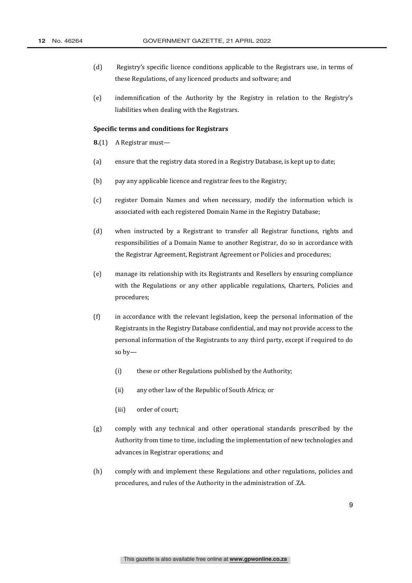- $(d)$ Registry's specific licence conditions applicable to the Registrars use, in terms of these Regulations, of any licenced products and software; and
- $(e)$ indemnification of the Authority by the Registry in relation to the Registry's liabilities when dealing with the Registrars.

#### **Specific terms and conditions for Registrars**

- 8.(1) A Registrar must-
- $(a)$ ensure that the registry data stored in a Registry Database, is kept up to date;
- $(b)$ pay any applicable licence and registrar fees to the Registry;
- $(c)$ register Domain Names and when necessary, modify the information which is associated with each registered Domain Name in the Registry Database;
- $(d)$ when instructed by a Registrant to transfer all Registrar functions, rights and responsibilities of a Domain Name to another Registrar, do so in accordance with the Registrar Agreement, Registrant Agreement or Policies and procedures;
- $(e)$ manage its relationship with its Registrants and Resellers by ensuring compliance with the Regulations or any other applicable regulations, Charters, Policies and procedures;
- $(f)$ in accordance with the relevant legislation, keep the personal information of the Registrants in the Registry Database confidential, and may not provide access to the personal information of the Registrants to any third party, except if required to do so  $bv$ —
	- $(i)$ these or other Regulations published by the Authority;
	- $(ii)$ any other law of the Republic of South Africa; or
	- $(iii)$ order of court;
- $(g)$ comply with any technical and other operational standards prescribed by the Authority from time to time, including the implementation of new technologies and advances in Registrar operations; and
- $(h)$ comply with and implement these Regulations and other regulations, policies and procedures, and rules of the Authority in the administration of .ZA.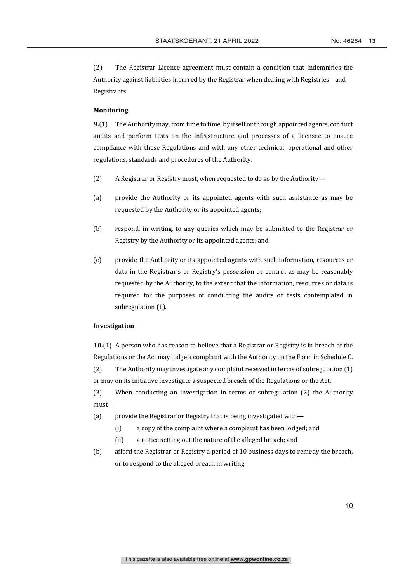$(2)$ The Registrar Licence agreement must contain a condition that indemnifies the Authority against liabilities incurred by the Registrar when dealing with Registries and Registrants.

#### **Monitoring**

9.(1) The Authority may, from time to time, by itself or through appointed agents, conduct audits and perform tests on the infrastructure and processes of a licensee to ensure compliance with these Regulations and with any other technical, operational and other regulations, standards and procedures of the Authority.

- $(2)$ A Registrar or Registry must, when requested to do so by the Authority-
- $(a)$ provide the Authority or its appointed agents with such assistance as may be requested by the Authority or its appointed agents;
- $(b)$ respond, in writing, to any queries which may be submitted to the Registrar or Registry by the Authority or its appointed agents; and
- $(c)$ provide the Authority or its appointed agents with such information, resources or data in the Registrar's or Registry's possession or control as may be reasonably requested by the Authority, to the extent that the information, resources or data is required for the purposes of conducting the audits or tests contemplated in subregulation (1).

#### Investigation

10.(1) A person who has reason to believe that a Registrar or Registry is in breach of the Regulations or the Act may lodge a complaint with the Authority on the Form in Schedule C.  $(2)$ The Authority may investigate any complaint received in terms of subregulation (1) or may on its initiative investigate a suspected breach of the Regulations or the Act.

 $(3)$ When conducting an investigation in terms of subregulation (2) the Authority  $must-$ 

- $(a)$ provide the Registrar or Registry that is being investigated with
	- a copy of the complaint where a complaint has been lodged; and  $(i)$
	- $(ii)$ a notice setting out the nature of the alleged breach; and
- $(b)$ afford the Registrar or Registry a period of 10 business days to remedy the breach, or to respond to the alleged breach in writing.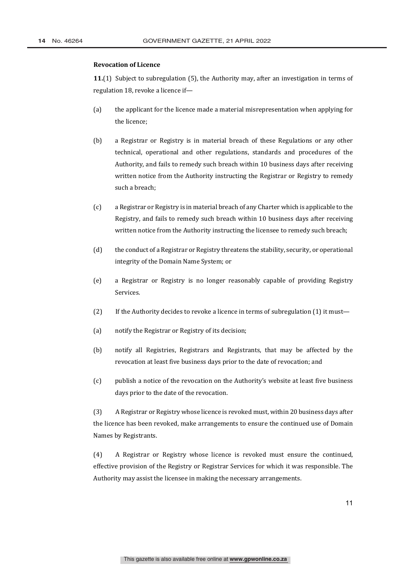#### **Revocation of Licence**

11.(1) Subject to subregulation (5), the Authority may, after an investigation in terms of regulation 18, revoke a licence if-

- the applicant for the licence made a material misrepresentation when applying for  $(a)$ the licence:
- $(b)$ a Registrar or Registry is in material breach of these Regulations or any other technical, operational and other regulations, standards and procedures of the Authority, and fails to remedy such breach within 10 business days after receiving written notice from the Authority instructing the Registrar or Registry to remedy such a breach;
- $(c)$ a Registrar or Registry is in material breach of any Charter which is applicable to the Registry, and fails to remedy such breach within 10 business days after receiving written notice from the Authority instructing the licensee to remedy such breach;
- $(d)$ the conduct of a Registrar or Registry threatens the stability, security, or operational integrity of the Domain Name System; or
- $(e)$ a Registrar or Registry is no longer reasonably capable of providing Registry Services.
- $(2)$ If the Authority decides to revoke a licence in terms of subregulation (1) it must-
- $(a)$ notify the Registrar or Registry of its decision:
- $(b)$ notify all Registries, Registrars and Registrants, that may be affected by the revocation at least five business days prior to the date of revocation; and
- $(c)$ publish a notice of the revocation on the Authority's website at least five business days prior to the date of the revocation.

A Registrar or Registry whose licence is revoked must, within 20 business days after  $(3)$ the licence has been revoked, make arrangements to ensure the continued use of Domain Names by Registrants.

 $(4)$ A Registrar or Registry whose licence is revoked must ensure the continued, effective provision of the Registry or Registrar Services for which it was responsible. The Authority may assist the licensee in making the necessary arrangements.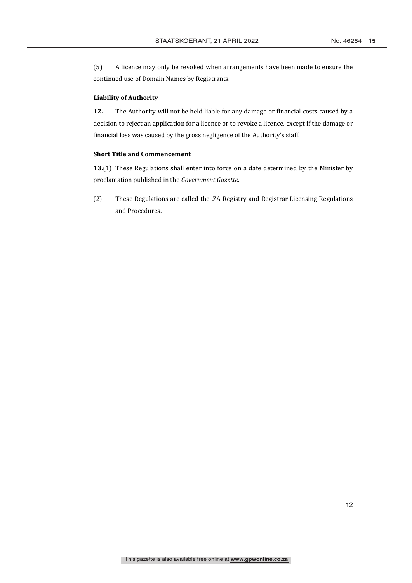$(5)$ A licence may only be revoked when arrangements have been made to ensure the continued use of Domain Names by Registrants.

#### **Liability of Authority**

 $12.$ The Authority will not be held liable for any damage or financial costs caused by a decision to reject an application for a licence or to revoke a licence, except if the damage or financial loss was caused by the gross negligence of the Authority's staff.

#### **Short Title and Commencement**

13.(1) These Regulations shall enter into force on a date determined by the Minister by proclamation published in the Government Gazette.

These Regulations are called the .ZA Registry and Registrar Licensing Regulations  $(2)$ and Procedures.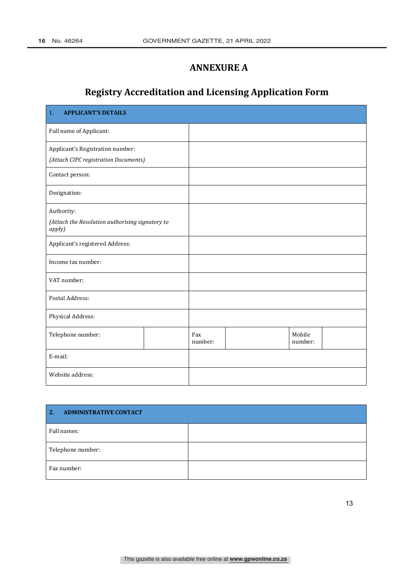# **ANNEXURE A**

# **Registry Accreditation and Licensing Application Form**

| <b>APPLICANT'S DETAILS</b><br>1.                          |  |                |  |                   |  |
|-----------------------------------------------------------|--|----------------|--|-------------------|--|
| Full name of Applicant:                                   |  |                |  |                   |  |
| Applicant's Registration number:                          |  |                |  |                   |  |
| (Attach CIPC registration Documents)                      |  |                |  |                   |  |
| Contact person:                                           |  |                |  |                   |  |
| Designation:                                              |  |                |  |                   |  |
| Authority:                                                |  |                |  |                   |  |
| (Attach the Resolution authorising signatory to<br>apply) |  |                |  |                   |  |
| Applicant's registered Address:                           |  |                |  |                   |  |
| Income tax number:                                        |  |                |  |                   |  |
| VAT number:                                               |  |                |  |                   |  |
| Postal Address:                                           |  |                |  |                   |  |
| Physical Address:                                         |  |                |  |                   |  |
| Telephone number:                                         |  | Fax<br>number: |  | Mobile<br>number: |  |
| E-mail:                                                   |  |                |  |                   |  |
| Website address:                                          |  |                |  |                   |  |

| $\overline{2}$ .<br><b>ADMINISTRATIVE CONTACT</b> |  |
|---------------------------------------------------|--|
| Full names:                                       |  |
| Telephone number:                                 |  |
| Fax number:                                       |  |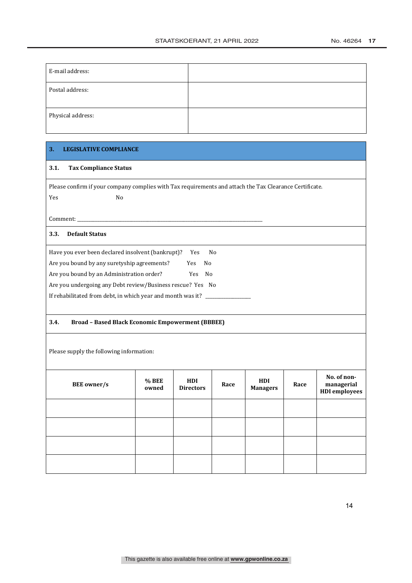| E-mail address:   |  |
|-------------------|--|
| Postal address:   |  |
| Physical address: |  |

### 3. LEGISLATIVE COMPLIANCE

#### 3.1. Tax Compliance Status

Please confirm if your company complies with Tax requirements and attach the Tax Clearance Certificate.

<u> 1989 - Johann Barn, mars eta bainar eta industrial eta erromana eta erromana eta erromana eta erromana eta e</u>

### 3.3. Default Status

| Have you ever been declared insolvent (bankrupt)?           | Yes. | N٥  |  |  |
|-------------------------------------------------------------|------|-----|--|--|
| Are you bound by any suretyship agreements?                 | Yes. | N٥  |  |  |
| Are you bound by an Administration order?                   | Yes. | No. |  |  |
| Are you undergoing any Debt review/Business rescue? Yes No  |      |     |  |  |
| If rehabilitated from debt, in which year and month was it? |      |     |  |  |

#### $3.4.$ **Broad - Based Black Economic Empowerment (BBBEE)**

Please supply the following information:

| <b>BEE</b> owner/s | $%$ BEE<br>owned | HDI<br><b>Directors</b> | Race | HDI<br><b>Managers</b> | Race | No. of non-<br>managerial<br><b>HDI</b> employees |
|--------------------|------------------|-------------------------|------|------------------------|------|---------------------------------------------------|
|                    |                  |                         |      |                        |      |                                                   |
|                    |                  |                         |      |                        |      |                                                   |
|                    |                  |                         |      |                        |      |                                                   |
|                    |                  |                         |      |                        |      |                                                   |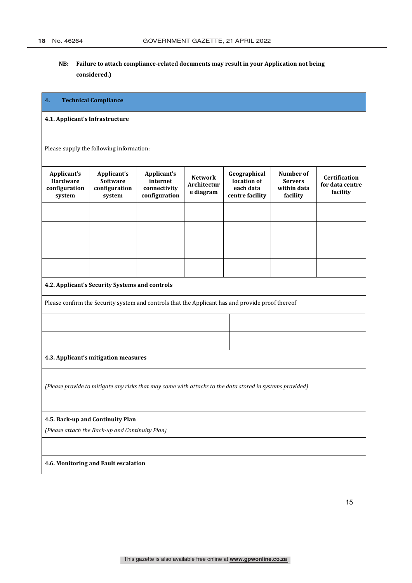## **NB: Failure to attach compliance-related documents may result in your Application not being considered.)**

### **4. Technical Compliance**

#### **4.1. Applicant's Infrastructure**

Please supply the following information:

| Applicant's<br>Hardware<br>configuration<br>system                                                       | Applicant's<br><b>Software</b><br>configuration<br>system | Applicant's<br>internet<br>connectivity<br>configuration | <b>Network</b><br>Architectur<br>e diagram | Geographical<br>location of<br>each data<br>centre facility                                      | Number of<br><b>Servers</b><br>within data<br>facility | <b>Certification</b><br>for data centre<br>facility |
|----------------------------------------------------------------------------------------------------------|-----------------------------------------------------------|----------------------------------------------------------|--------------------------------------------|--------------------------------------------------------------------------------------------------|--------------------------------------------------------|-----------------------------------------------------|
|                                                                                                          |                                                           |                                                          |                                            |                                                                                                  |                                                        |                                                     |
|                                                                                                          |                                                           |                                                          |                                            |                                                                                                  |                                                        |                                                     |
|                                                                                                          |                                                           |                                                          |                                            |                                                                                                  |                                                        |                                                     |
|                                                                                                          |                                                           |                                                          |                                            |                                                                                                  |                                                        |                                                     |
|                                                                                                          | 4.2. Applicant's Security Systems and controls            |                                                          |                                            |                                                                                                  |                                                        |                                                     |
|                                                                                                          |                                                           |                                                          |                                            | Please confirm the Security system and controls that the Applicant has and provide proof thereof |                                                        |                                                     |
|                                                                                                          |                                                           |                                                          |                                            |                                                                                                  |                                                        |                                                     |
|                                                                                                          |                                                           |                                                          |                                            |                                                                                                  |                                                        |                                                     |
|                                                                                                          | 4.3. Applicant's mitigation measures                      |                                                          |                                            |                                                                                                  |                                                        |                                                     |
| (Please provide to mitigate any risks that may come with attacks to the data stored in systems provided) |                                                           |                                                          |                                            |                                                                                                  |                                                        |                                                     |
|                                                                                                          |                                                           |                                                          |                                            |                                                                                                  |                                                        |                                                     |
|                                                                                                          | 4.5. Back-up and Continuity Plan                          |                                                          |                                            |                                                                                                  |                                                        |                                                     |
|                                                                                                          | (Please attach the Back-up and Continuity Plan)           |                                                          |                                            |                                                                                                  |                                                        |                                                     |
|                                                                                                          |                                                           |                                                          |                                            |                                                                                                  |                                                        |                                                     |
|                                                                                                          | 4.6. Monitoring and Fault escalation                      |                                                          |                                            |                                                                                                  |                                                        |                                                     |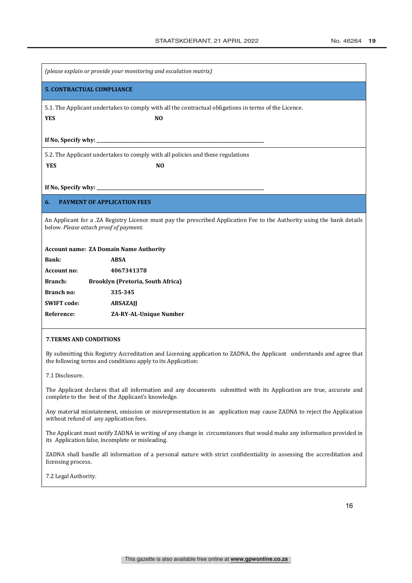| (please explain or provide your monitoring and escalation matrix)                                                                                                 |  |  |  |  |
|-------------------------------------------------------------------------------------------------------------------------------------------------------------------|--|--|--|--|
| <b>5. CONTRACTUAL COMPLIANCE</b>                                                                                                                                  |  |  |  |  |
| 5.1. The Applicant undertakes to comply with all the contractual obligations in terms of the Licence.<br>N <sub>O</sub><br><b>YES</b>                             |  |  |  |  |
| If No, Specify why: $\sqrt{\frac{2}{1-\frac{1}{2}} + \frac{1}{2-\frac{1}{2}} + \frac{1}{2-\frac{1}{2}}}$                                                          |  |  |  |  |
| 5.2. The Applicant undertakes to comply with all policies and these regulations<br><b>YES</b><br>N <sub>O</sub>                                                   |  |  |  |  |
|                                                                                                                                                                   |  |  |  |  |
| If No, Specify why:                                                                                                                                               |  |  |  |  |
| <b>PAYMENT OF APPLICATION FEES</b><br>6.                                                                                                                          |  |  |  |  |
| An Applicant for a .ZA Registry Licence must pay the prescribed Application Fee to the Authority using the bank details<br>below. Please attach proof of payment. |  |  |  |  |
| <b>Account name: ZA Domain Name Authority</b>                                                                                                                     |  |  |  |  |
| Bank:<br><b>ABSA</b>                                                                                                                                              |  |  |  |  |
| 4067341378<br><b>Account no:</b>                                                                                                                                  |  |  |  |  |

**Branch no: 335-345 SWIFT code: ABSAZAJJ Reference: ZA-RY-AL-Unique Number**

#### **7.TERMS AND CONDITIONS**

By submitting this Registry Accreditation and Licensing application to ZADNA, the Applicant understands and agree that the following terms and conditions apply to its Application:

7.1 Disclosure.

The Applicant declares that all information and any documents submitted with its Application are true, accurate and complete to the best of the Applicant's knowledge.

Any material misstatement, omission or misrepresentation in an application may cause ZADNA to reject the Application without refund of any application fees.

The Applicant must notify ZADNA in writing of any change in circumstances that would make any information provided in its Application false, incomplete or misleading.

ZADNA shall handle all information of a personal nature with strict confidentiality in assessing the accreditation and licensing process.

7.2 Legal Authority.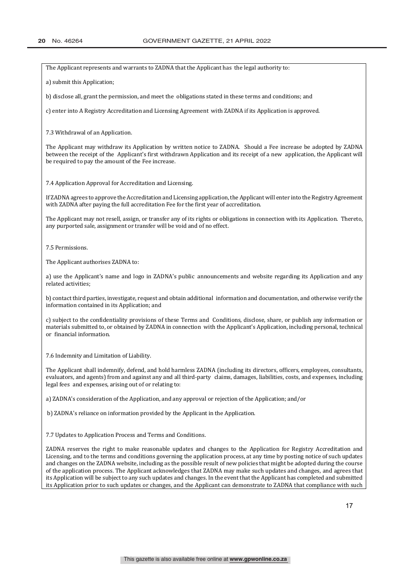The Applicant represents and warrants to ZADNA that the Applicant has the legal authority to:

a) submit this Application;

b) disclose all, grant the permission, and meet the obligations stated in these terms and conditions; and

c) enter into A Registry Accreditation and Licensing Agreement with ZADNA if its Application is approved.

7.3 Withdrawal of an Application.

The Applicant may withdraw its Application by written notice to ZADNA. Should a Fee increase be adopted by ZADNA between the receipt of the Applicant's first withdrawn Application and its receipt of a new application, the Applicant will be required to pay the amount of the Fee increase.

7.4 Application Approval for Accreditation and Licensing.

If ZADNA agrees to approve the Accreditation and Licensing application, the Applicant will enter into the Registry Agreement with ZADNA after paying the full accreditation Fee for the first year of accreditation.

The Applicant may not resell, assign, or transfer any of its rights or obligations in connection with its Application. Thereto, any purported sale, assignment or transfer will be void and of no effect.

7.5 Permissions.

The Applicant authorises ZADNA to:

a) use the Applicant's name and logo in ZADNA's public announcements and website regarding its Application and any related activities;

b) contact third parties, investigate, request and obtain additional information and documentation, and otherwise verify the information contained in its Application; and

c) subject to the confidentiality provisions of these Terms and Conditions, disclose, share, or publish any information or materials submitted to, or obtained by ZADNA in connection with the Applicant's Application, including personal, technical or financial information.

7.6 Indemnity and Limitation of Liability.

The Applicant shall indemnify, defend, and hold harmless ZADNA (including its directors, officers, employees, consultants, evaluators, and agents) from and against any and all third-party claims, damages, liabilities, costs, and expenses, including legal fees and expenses, arising out of or relating to:

a) ZADNA's consideration of the Application, and any approval or rejection of the Application: and/or

b) ZADNA's reliance on information provided by the Applicant in the Application.

7.7 Updates to Application Process and Terms and Conditions.

ZADNA reserves the right to make reasonable updates and changes to the Application for Registry Accreditation and Licensing, and to the terms and conditions governing the application process, at any time by posting notice of such updates and changes on the ZADNA website, including as the possible result of new policies that might be adopted during the course of the application process. The Applicant acknowledges that ZADNA may make such updates and changes, and agrees that its Application will be subject to any such updates and changes. In the event that the Applicant has completed and submitted its Application prior to such updates or changes, and the Applicant can demonstrate to ZADNA that compliance with such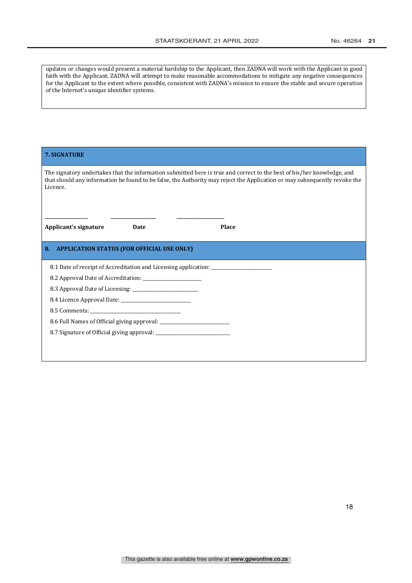updates or changes would present a material hardship to the Applicant, then ZADNA will work with the Applicant in good faith with the Applicant. ZADNA will attempt to make reasonable accommodations to mitigate any negative consequences for the Applicant to the extent where possible, consistent with ZADNA's mission to ensure the stable and secure operation of the Internet's unique identifier systems.

| <b>7. SIGNATURE</b>                                                                                                                                                                                                                                             |
|-----------------------------------------------------------------------------------------------------------------------------------------------------------------------------------------------------------------------------------------------------------------|
| The signatory undertakes that the information submitted here is true and correct to the best of his/her knowledge, and<br>that should any information be found to be false, the Authority may reject the Application or may subsequently revoke the<br>Licence. |
| Applicant's signature<br><b>Place</b><br>Date                                                                                                                                                                                                                   |
| <b>APPLICATION STATUS (FOR OFFICIAL USE ONLY)</b><br>8.                                                                                                                                                                                                         |
| 8.1 Date of receipt of Accreditation and Licensing application: ________________                                                                                                                                                                                |
|                                                                                                                                                                                                                                                                 |
|                                                                                                                                                                                                                                                                 |
|                                                                                                                                                                                                                                                                 |
|                                                                                                                                                                                                                                                                 |
|                                                                                                                                                                                                                                                                 |
|                                                                                                                                                                                                                                                                 |
|                                                                                                                                                                                                                                                                 |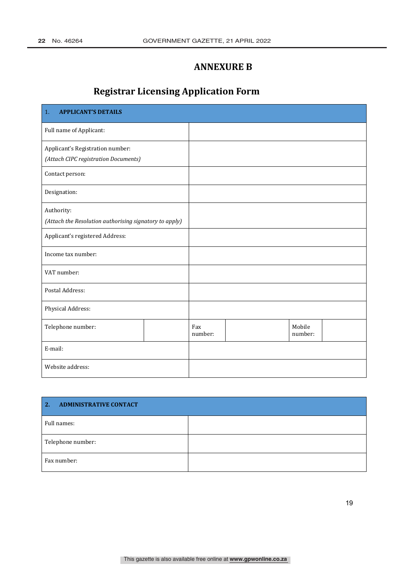# **ANNEXURE B**

# **Registrar Licensing Application Form**

| <b>APPLICANT'S DETAILS</b><br>1.                       |  |                |  |                   |  |
|--------------------------------------------------------|--|----------------|--|-------------------|--|
| Full name of Applicant:                                |  |                |  |                   |  |
| Applicant's Registration number:                       |  |                |  |                   |  |
| (Attach CIPC registration Documents)                   |  |                |  |                   |  |
| Contact person:                                        |  |                |  |                   |  |
| Designation:                                           |  |                |  |                   |  |
| Authority:                                             |  |                |  |                   |  |
| (Attach the Resolution authorising signatory to apply) |  |                |  |                   |  |
| Applicant's registered Address:                        |  |                |  |                   |  |
| Income tax number:                                     |  |                |  |                   |  |
| VAT number:                                            |  |                |  |                   |  |
| Postal Address:                                        |  |                |  |                   |  |
| Physical Address:                                      |  |                |  |                   |  |
| Telephone number:                                      |  | Fax<br>number: |  | Mobile<br>number: |  |
| E-mail:                                                |  |                |  |                   |  |
| Website address:                                       |  |                |  |                   |  |

| <b>ADMINISTRATIVE CONTACT</b><br>2. |  |
|-------------------------------------|--|
| Full names:                         |  |
| Telephone number:                   |  |
| Fax number:                         |  |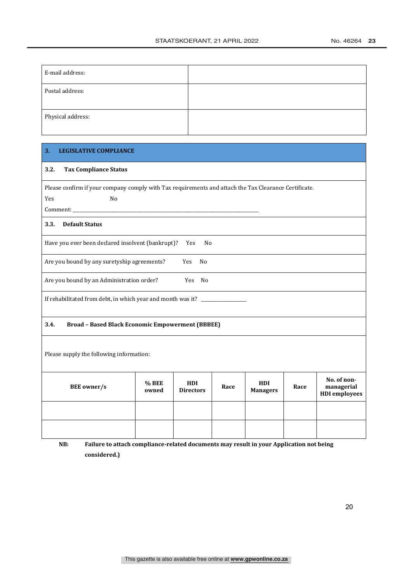| E-mail address:   |  |
|-------------------|--|
| Postal address:   |  |
| Physical address: |  |

#### $3<sub>1</sub>$ **LEGISLATIVE COMPLIANCE**

#### $3.2.$ **Tax Compliance Status**

Please confirm if your company comply with Tax requirements and attach the Tax Clearance Certificate.

Yes

Comment:

### 3.3. Default Status

Have you ever been declared insolvent (bankrupt)? Yes  $No$ 

N<sub>o</sub>

Are you bound by any suretyship agreements? Yes  $\rm No$ 

Are you bound by an Administration order? Yes No

If rehabilitated from debt, in which year and month was it?

#### $3.4.$ **Broad - Based Black Economic Empowerment (BBBEE)**

Please supply the following information:

| <b>BEE</b> owner/s | % BEE<br>owned | HDI<br><b>Directors</b> | Race | HDI<br><b>Managers</b> | Race | No. of non-<br>managerial<br><b>HDI</b> employees |
|--------------------|----------------|-------------------------|------|------------------------|------|---------------------------------------------------|
|                    |                |                         |      |                        |      |                                                   |
|                    |                |                         |      |                        |      |                                                   |

NB: Failure to attach compliance-related documents may result in your Application not being considered.)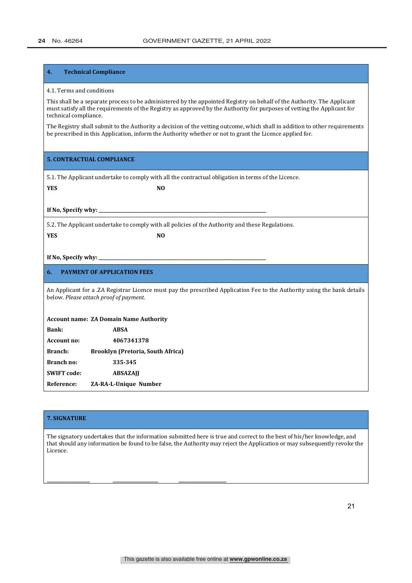#### **4. Technical Compliance**

#### 4.1. Terms and conditions

This shall be a separate process to be administered by the appointed Registry on behalf of the Authority. The Applicant must satisfy all the requirements of the Registry as approved by the Authority for purposes of vetting the Applicant for technical compliance.

The Registry shall submit to the Authority a decision of the vetting outcome, which shall in addition to other requirements be prescribed in this Application, inform the Authority whether or not to grant the Licence applied for.

#### **5. CONTRACTUAL COMPLIANCE**

5.1. The Applicant undertake to comply with all the contractual obligation in terms of the Licence.

**YES NO** 

**If No. Specify why:** 

5.2. The Applicant undertake to comply with all policies of the Authority and these Regulations.

**YES NO** 

#### If No, Specify why:

#### **6. PAYMENT OF APPLICATION FEES**

An Applicant for a .ZA Registrar Licence must pay the prescribed Application Fee to the Authority using the bank details below. Please attach proof of payment.

#### **Account name: ZA Domain Name Authority**

| <b>Bank:</b>       | <b>ABSA</b>                              |
|--------------------|------------------------------------------|
| <b>Account no:</b> | 4067341378                               |
| <b>Branch:</b>     | <b>Brooklyn (Pretoria, South Africa)</b> |
| Branch no:         | 335-345                                  |
| <b>SWIFT</b> code: | <b>ABSAZAII</b>                          |
| Reference:         | ZA-RA-L-Unique Number                    |

**\_\_\_\_\_\_\_\_\_\_\_\_\_\_\_\_\_\_\_ \_\_\_\_\_\_\_\_\_\_\_\_\_\_\_\_\_\_\_\_ \_\_\_\_\_\_\_\_\_\_\_\_\_\_\_\_\_\_\_\_\_**

#### **7. SIGNATURE**

The signatory undertakes that the information submitted here is true and correct to the best of his/her knowledge, and that should any information be found to be false, the Authority may reject the Application or may subsequently revoke the Licence.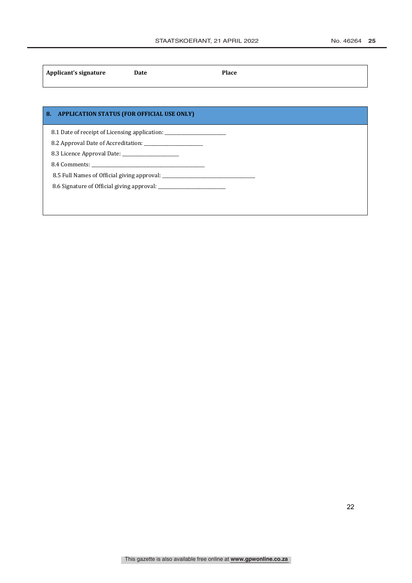| Applicant's signature | Date | <b>Place</b> |  |
|-----------------------|------|--------------|--|
|                       |      |              |  |

## **8. APPLICATION STATUS (FOR OFFICIAL USE ONLY)**

8.1 Date of receipt of Licensing application: \_\_\_\_\_\_\_\_\_\_\_\_\_\_\_\_\_\_\_\_\_\_\_\_\_\_\_\_\_\_\_\_\_\_

ͺǤʹǣ̴̴̴̴̴̴̴̴̴̴̴̴̴̴̴̴̴̴̴̴̴̴̴̴̴̴

8.3 Licence Approval Date:

ͺǤͶǣ̴̴̴̴̴̴̴̴̴̴̴̴̴̴̴̴̴̴̴̴̴̴̴̴̴̴̴̴̴̴̴̴̴̴̴̴̴̴̴̴̴̴̴̴̴̴̴̴̴̴

8.5 Full Names of Official giving approval:

ͺǤ ǣ̴̴̴̴̴̴̴̴̴̴̴̴̴̴̴̴̴̴̴̴̴̴̴̴̴̴̴̴̴̴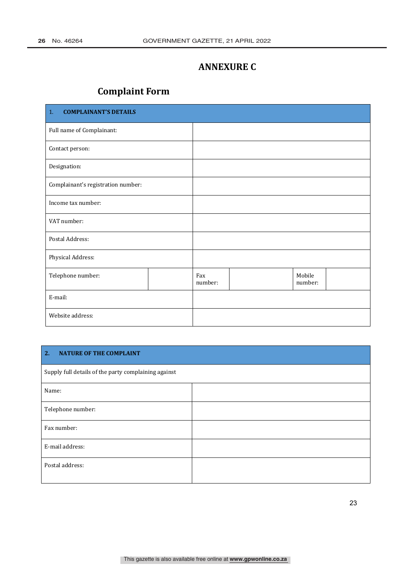# **ANNEXURE C**

# **Complaint Form**

| 1.<br><b>COMPLAINANT'S DETAILS</b> |  |                |  |                   |  |
|------------------------------------|--|----------------|--|-------------------|--|
| Full name of Complainant:          |  |                |  |                   |  |
| Contact person:                    |  |                |  |                   |  |
| Designation:                       |  |                |  |                   |  |
| Complainant's registration number: |  |                |  |                   |  |
| Income tax number:                 |  |                |  |                   |  |
| VAT number:                        |  |                |  |                   |  |
| Postal Address:                    |  |                |  |                   |  |
| Physical Address:                  |  |                |  |                   |  |
| Telephone number:                  |  | Fax<br>number: |  | Mobile<br>number: |  |
| E-mail:                            |  |                |  |                   |  |
| Website address:                   |  |                |  |                   |  |

#### $2.$ **NATURE OF THE COMPLAINT**

| Supply full details of the party complaining against |  |  |
|------------------------------------------------------|--|--|
| Name:                                                |  |  |
| Telephone number:                                    |  |  |
| Fax number:                                          |  |  |
| E-mail address:                                      |  |  |
| Postal address:                                      |  |  |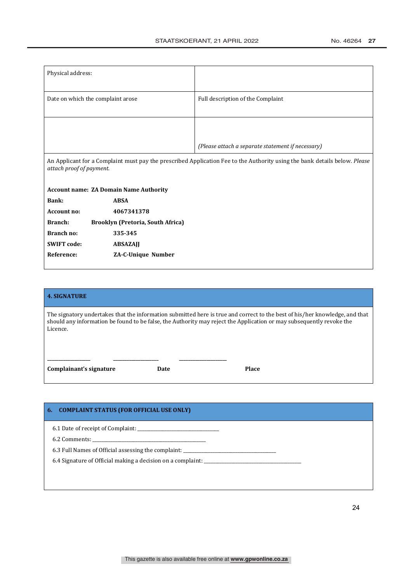| Physical address:                                                                                                                                      |                    |                                                   |  |  |
|--------------------------------------------------------------------------------------------------------------------------------------------------------|--------------------|---------------------------------------------------|--|--|
| Date on which the complaint arose                                                                                                                      |                    | Full description of the Complaint                 |  |  |
|                                                                                                                                                        |                    |                                                   |  |  |
|                                                                                                                                                        |                    | (Please attach a separate statement if necessary) |  |  |
| An Applicant for a Complaint must pay the prescribed Application Fee to the Authority using the bank details below. Please<br>attach proof of payment. |                    |                                                   |  |  |
| <b>Account name: ZA Domain Name Authority</b>                                                                                                          |                    |                                                   |  |  |
| Bank:                                                                                                                                                  | <b>ABSA</b>        |                                                   |  |  |
| <b>Account no:</b>                                                                                                                                     | 4067341378         |                                                   |  |  |
| Branch:<br>Brooklyn (Pretoria, South Africa)                                                                                                           |                    |                                                   |  |  |
| Branch no:                                                                                                                                             | 335-345            |                                                   |  |  |
| <b>SWIFT code:</b>                                                                                                                                     | <b>ABSAZAJI</b>    |                                                   |  |  |
| Reference:                                                                                                                                             | ZA-C-Unique Number |                                                   |  |  |

# **4. SIGNATURE** The signatory undertakes that the information submitted here is true and correct to the best of his/her knowledge, and that should any information be found to be false, the Authority may reject the Application or may subsequently revoke the Licence. **\_\_\_\_\_\_\_\_\_\_\_\_\_\_\_\_\_\_\_ \_\_\_\_\_\_\_\_\_\_\_\_\_\_\_\_\_\_\_\_ \_\_\_\_\_\_\_\_\_\_\_\_\_\_\_\_\_\_\_\_\_ Complainant's signature Date Place Place**

#### **6. COMPLAINT STATUS (FOR OFFICIAL USE ONLY)**

6.1 Date of receipt of Complaint:

6.2 Comments:

6.3 Full Names of Official assessing the complaint:

6.4 Signature of Official making a decision on a complaint: \_